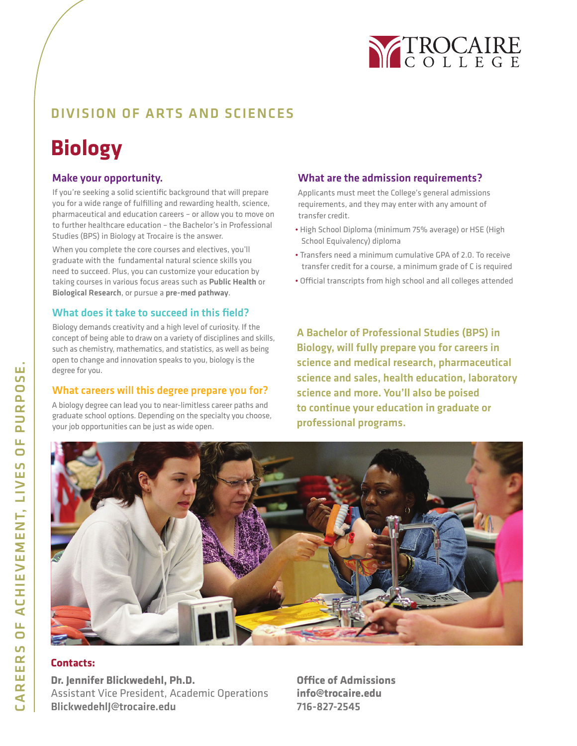

# DIVISION OF ARTS AND SCIENCES

# **Biology**

#### Make your opportunity.

If you're seeking a solid scientific background that will prepare you for a wide range of fulfilling and rewarding health, science, pharmaceutical and education careers – or allow you to move on to further healthcare education – the Bachelor's in Professional Studies (BPS) in Biology at Trocaire is the answer.

When you complete the core courses and electives, you'll graduate with the fundamental natural science skills you need to succeed. Plus, you can customize your education by taking courses in various focus areas such as Public Health or Biological Research, or pursue a pre-med pathway.

#### What does it take to succeed in this field?

Biology demands creativity and a high level of curiosity. If the concept of being able to draw on a variety of disciplines and skills, such as chemistry, mathematics, and statistics, as well as being open to change and innovation speaks to you, biology is the degree for you.

#### What careers will this degree prepare you for?

A biology degree can lead you to near-limitless career paths and graduate school options. Depending on the specialty you choose, your job opportunities can be just as wide open.

#### What are the admission requirements?

Applicants must meet the College's general admissions requirements, and they may enter with any amount of transfer credit.

- High School Diploma (minimum 75% average) or HSE (High School Equivalency) diploma
- Transfers need a minimum cumulative GPA of 2.0. To receive transfer credit for a course, a minimum grade of C is required
- Official transcripts from high school and all colleges attended

A Bachelor of Professional Studies (BPS) in Biology, will fully prepare you for careers in science and medical research, pharmaceutical science and sales, health education, laboratory science and more. You'll also be poised to continue your education in graduate or professional programs.



#### **Contacts:**

**Dr. Jennifer Blickwedehl, Ph.D.**  Assistant Vice President, Academic Operations BlickwedehlJ@trocaire.edu

**Office of Admissions info@trocaire.edu** 716-827-2545